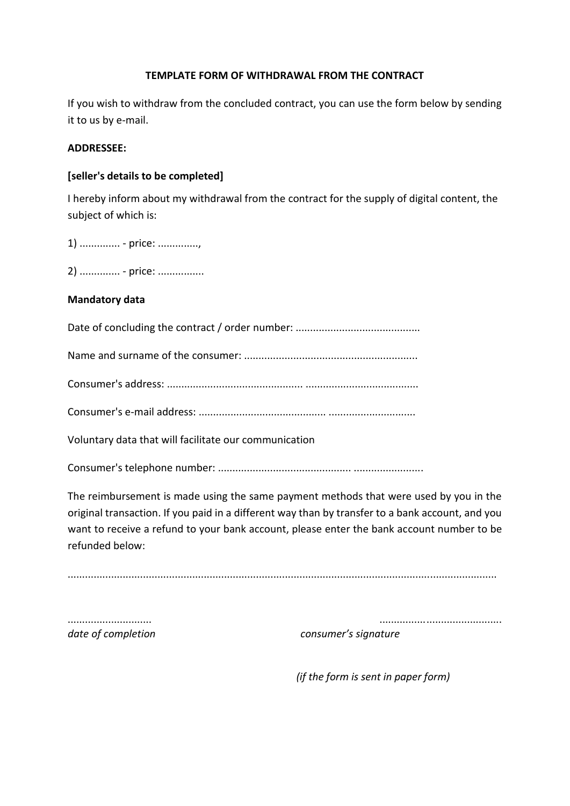### **TEMPLATE FORM OF WITHDRAWAL FROM THE CONTRACT**

If you wish to withdraw from the concluded contract, you can use the form below by sending it to us by e-mail.

# **ADDRESSEE:**

# **[seller's details to be completed]**

I hereby inform about my withdrawal from the contract for the supply of digital content, the subject of which is:

1) .............. - price: ..............,

2) ............... - price: .................

#### **Mandatory data**

Date of concluding the contract / order number: ...........................................

Name and surname of the consumer: ............................................................

Consumer's address: ............................................... .......................................

Consumer's e-mail address: ............................................ ..............................

Voluntary data that will facilitate our communication

Consumer's telephone number: .............................................. ........................

The reimbursement is made using the same payment methods that were used by you in the original transaction. If you paid in a different way than by transfer to a bank account, and you want to receive a refund to your bank account, please enter the bank account number to be refunded below:

....................................................................................................................................................

............................. ..........................................

*date of completion consumer's signature* 

 *(if the form is sent in paper form)*